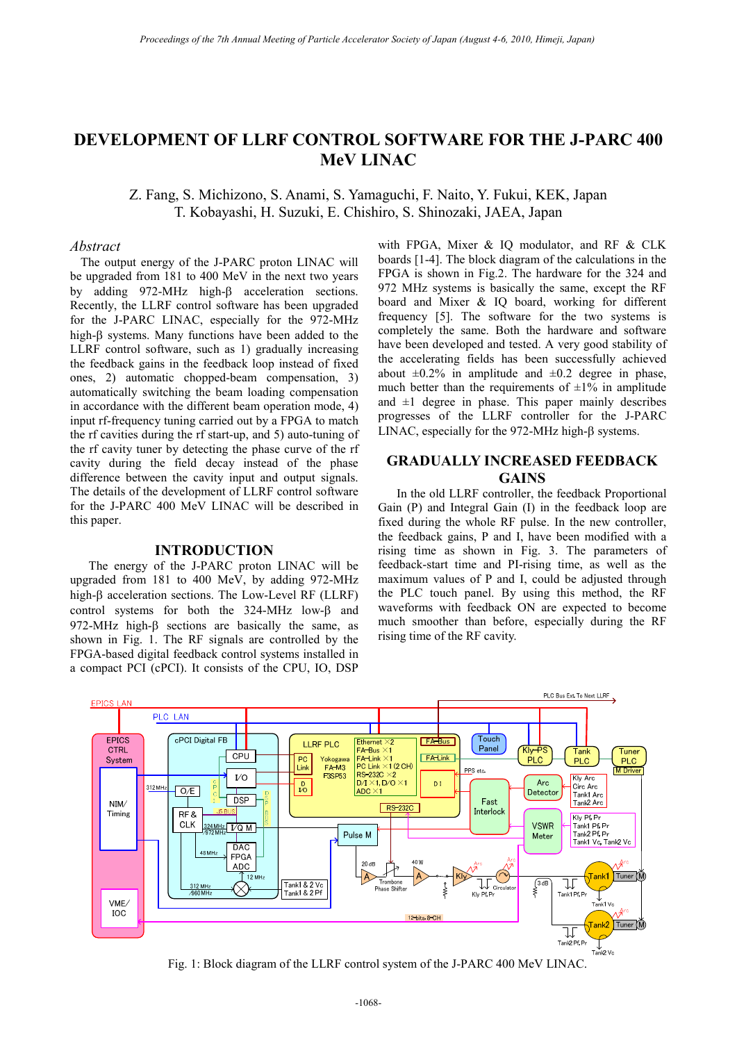# **DEVELOPMENT OF LLRF CONTROL SOFTWARE FOR THE J-PARC 400 MeV LINAC**

Z. Fang, S. Michizono, S. Anami, S. Yamaguchi, F. Naito, Y. Fukui, KEK, Japan T. Kobayashi, H. Suzuki, E. Chishiro, S. Shinozaki, JAEA, Japan

## *Abstract*

The output energy of the J-PARC proton LINAC will be upgraded from 181 to 400 MeV in the next two years by adding 972-MHz high- $\beta$  acceleration sections. Recently, the LLRF control software has been upgraded for the J-PARC LINAC, especially for the 972-MHz high- $\beta$  systems. Many functions have been added to the LLRF control software, such as 1) gradually increasing the feedback gains in the feedback loop instead of fixed ones, 2) automatic chopped-beam compensation, 3) automatically switching the beam loading compensation in accordance with the different beam operation mode, 4) input rf-frequency tuning carried out by a FPGA to match the rf cavities during the rf start-up, and 5) auto-tuning of the rf cavity tuner by detecting the phase curve of the rf cavity during the field decay instead of the phase difference between the cavity input and output signals. The details of the development of LLRF control software for the J-PARC 400 MeV LINAC will be described in this paper.

### **INTRODUCTION**

The energy of the J-PARC proton LINAC will be upgraded from 181 to 400 MeV, by adding 972-MHz high- $\beta$  acceleration sections. The Low-Level RF (LLRF) control systems for both the  $324-MHz$  low- $\beta$  and 972-MHz high- $\beta$  sections are basically the same, as shown in Fig. 1. The RF signals are controlled by the FPGA-based digital feedback control systems installed in a compact PCI (cPCI). It consists of the CPU, IO, DSP

with FPGA, Mixer & IQ modulator, and RF & CLK boards [1-4]. The block diagram of the calculations in the FPGA is shown in Fig.2. The hardware for the 324 and 972 MHz systems is basically the same, except the RF board and Mixer & IQ board, working for different frequency [5]. The software for the two systems is completely the same. Both the hardware and software have been developed and tested. A very good stability of the accelerating fields has been successfully achieved about  $\pm 0.2\%$  in amplitude and  $\pm 0.2$  degree in phase, much better than the requirements of  $\pm 1\%$  in amplitude and  $\pm 1$  degree in phase. This paper mainly describes progresses of the LLRF controller for the J-PARC LINAC, especially for the 972-MHz high- $\beta$  systems.

## **GRADUALLY INCREASED FEEDBACK GAINS**

In the old LLRF controller, the feedback Proportional Gain (P) and Integral Gain (I) in the feedback loop are fixed during the whole RF pulse. In the new controller, the feedback gains, P and I, have been modified with a rising time as shown in Fig. 3. The parameters of feedback-start time and PI-rising time, as well as the maximum values of P and I, could be adjusted through the PLC touch panel. By using this method, the RF waveforms with feedback ON are expected to become much smoother than before, especially during the RF rising time of the RF cavity.



Fig. 1: Block diagram of the LLRF control system of the J-PARC 400 MeV LINAC.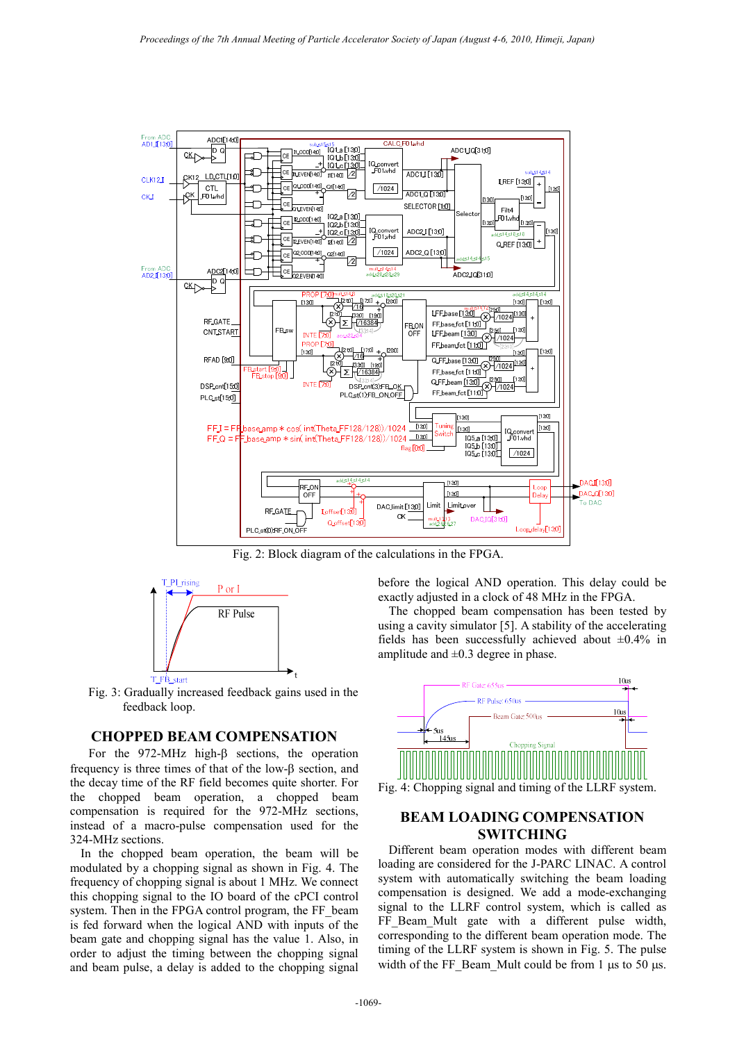

Fig. 2: Block diagram of the calculations in the FPGA.



Fig. 3: Gradually increased feedback gains used in the feedback loop.

## **CHOPPED BEAM COMPENSATION**

For the 972-MHz high- $\beta$  sections, the operation frequency is three times of that of the low- $\beta$  section, and the decay time of the RF field becomes quite shorter. For the chopped beam operation, a chopped beam compensation is required for the 972-MHz sections, instead of a macro-pulse compensation used for the 324-MHz sections.

In the chopped beam operation, the beam will be modulated by a chopping signal as shown in Fig. 4. The frequency of chopping signal is about 1 MHz. We connect this chopping signal to the IO board of the cPCI control system. Then in the FPGA control program, the FF beam is fed forward when the logical AND with inputs of the beam gate and chopping signal has the value 1. Also, in order to adjust the timing between the chopping signal and beam pulse, a delay is added to the chopping signal

before the logical AND operation. This delay could be exactly adjusted in a clock of 48 MHz in the FPGA.

The chopped beam compensation has been tested by using a cavity simulator [5]. A stability of the accelerating fields has been successfully achieved about  $\pm 0.4\%$  in amplitude and  $\pm 0.3$  degree in phase.



## **BEAM LOADING COMPENSATION SWITCHING**

Different beam operation modes with different beam loading are considered for the J-PARC LINAC. A control system with automatically switching the beam loading compensation is designed. We add a mode-exchanging signal to the LLRF control system, which is called as FF Beam Mult gate with a different pulse width, corresponding to the different beam operation mode. The timing of the LLRF system is shown in Fig. 5. The pulse width of the FF\_Beam\_Mult could be from 1  $\mu$ s to 50  $\mu$ s.